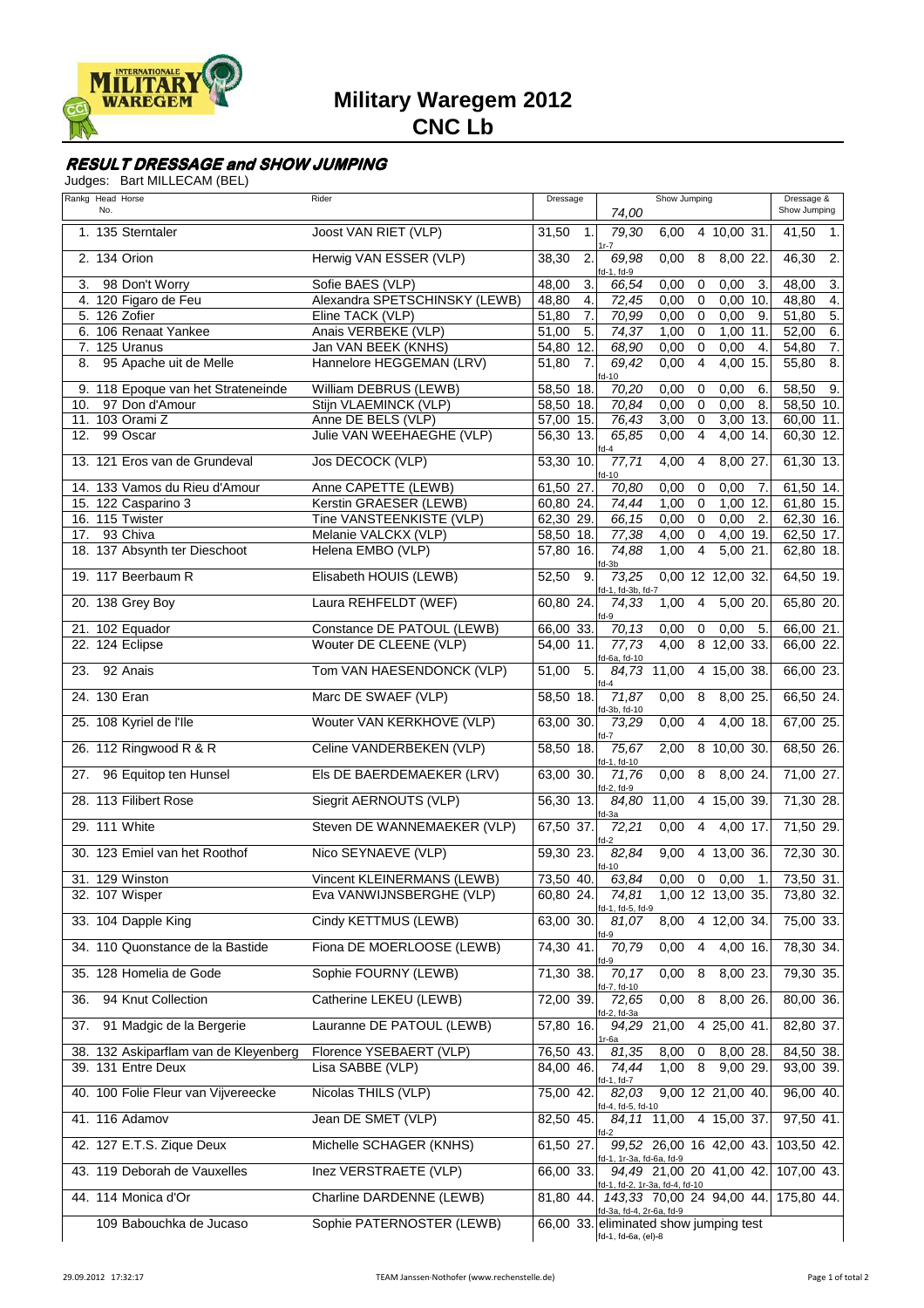

## **RESULT DRESSAGE and SHOW JUMPING**

Judges: Bart MILLECAM (BEL)

| Rankg Head Horse<br>No.                  | Rider                         | Dressage                  | Show Jumping<br>74.00                                                                | Dressage &<br>Show Jumping |
|------------------------------------------|-------------------------------|---------------------------|--------------------------------------------------------------------------------------|----------------------------|
| 1. 135 Sterntaler                        | Joost VAN RIET (VLP)          | 31,50<br>1.               | 79,30<br>6,00 4 10,00 31.<br>41,50                                                   | 1.                         |
| 2. 134 Orion                             | Herwig VAN ESSER (VLP)        | $\overline{2}$ .<br>38,30 | 1r-7<br>0,00<br>$\overline{\mathbf{8}}$<br>$8,00$ 22.<br>46,30<br>69,98<br>d-1, fd-9 | $\overline{2}$ .           |
| 98 Don't Worry<br>3.                     | Sofie BAES (VLP)              | 48,00<br>3.               | 66,54<br>0,00<br>0,00<br>48,00<br>0<br>3.                                            | 3.                         |
| 4. 120 Figaro de Feu                     | Alexandra SPETSCHINSKY (LEWB) | 4.<br>48,80               | 72,45<br>$\overline{0}$<br>0,00<br>$0,00$ 10.<br>48,80                               | 4.                         |
| 5. 126 Zofier                            | Eline TACK (VLP)              | 7.<br>51,80               | 70,99<br>0,00<br>$\mathbf 0$<br>51,80<br>0,00<br>9.                                  | 5.                         |
| 6. 106 Renaat Yankee                     | Anais VERBEKE (VLP)           | 5.<br>51,00               | 74,37<br>1,00<br>$\overline{0}$<br>1,00 11.<br>52,00                                 | 6.                         |
| 125 Uranus<br>7.                         | Jan VAN BEEK (KNHS)           | 54,80 12.                 | 68,90<br>0,00<br>$\mathbf 0$<br>0,00<br>4.<br>54,80                                  | 7.                         |
| 95 Apache uit de Melle<br>8.             | Hannelore HEGGEMAN (LRV)      | 7.<br>51,80               | $\overline{4}$<br>69,42<br>0,00<br>4,00<br>55,80<br>15.<br>fd-10                     | 8.                         |
| 118 Epoque van het Strateneinde<br>9.    | William DEBRUS (LEWB)         | 58,50 18.                 | 70,20<br>0,00<br>58,50<br>$\mathbf 0$<br>0,00<br>6.                                  | 9.                         |
| 97 Don d'Amour<br>10.                    | Stijn VLAEMINCK (VLP)         | 58,50 18.                 | 70,84<br>$\mathsf 0$<br>0,00<br>0,00<br>-8.                                          | 58,50 10.                  |
| 11. 103 Orami Z                          | Anne DE BELS (VLP)            | 57,00 15.                 | 3,00<br>76.43<br>$\overline{0}$<br>3,00 13.                                          | 60,00 11.                  |
| 12.<br>99 Oscar                          | Julie VAN WEEHAEGHE (VLP)     | 56,30 13.                 | 65,85<br>$\overline{4}$<br>4,00 14.<br>0,00<br>$fd-4$                                | 60,30 12.                  |
| 13. 121 Eros van de Grundeval            | Jos DECOCK (VLP)              | 53,30 10.                 | 77,71<br>8,00 27<br>4,00<br>$\overline{4}$<br>$fd-10$                                | 61,30 13.                  |
| 14. 133 Vamos du Rieu d'Amour            | Anne CAPETTE (LEWB)           | 61,50 27.                 | 70,80<br>0,00<br>0,00<br>$\mathbf 0$<br>7.                                           | 61,50 14.                  |
| 15. 122 Casparino 3                      | Kerstin GRAESER (LEWB)        | 60,80 24.                 | 74,44<br>1,00<br>$\overline{0}$<br>1,00 12.                                          | 61,80 15.                  |
| 16. 115 Twister                          | Tine VANSTEENKISTE (VLP)      | 62,30 29.                 | 66,15<br>0,00<br>$\mathbf 0$<br>0,00<br>2.                                           | $62,30$ 16.                |
| 93 Chiva<br>17.                          | Melanie VALCKX (VLP)          | 58,50 18.                 | 77,38<br>4,00<br>$\mathbf 0$<br>4,00 19.                                             | 62,50 17.                  |
| 18. 137 Absynth ter Dieschoot            | Helena EMBO (VLP)             | $57,80$ 16.               | 74,88<br>$\overline{4}$<br>$5,00$ 21.<br>1,00<br>fd-3b                               | 62,80 18.                  |
| 19. 117 Beerbaum R                       | Elisabeth HOUIS (LEWB)        | 52,50<br>9.               | 73,25<br>0,00 12 12,00 32<br>fd-1, fd-3b, fd-7                                       | 64,50 19.                  |
| 20. 138 Grey Boy                         | Laura REHFELDT (WEF)          | 60,80 24.                 | $\overline{4}$<br>5,00 20<br>74,33<br>1,00<br>$fd-9$                                 | 65,80 20.                  |
| 21. 102 Equador                          | Constance DE PATOUL (LEWB)    | 66,00 33.                 | 70.13<br>0,00<br>0<br>0,00<br>-5.                                                    | 66,00 21.                  |
| 22. 124 Eclipse                          | Wouter DE CLEENE (VLP)        | 54,00 11.                 | $8$ 12,00 33.<br>77,73<br>4,00<br>fd-6a, fd-10                                       | 66,00 22.                  |
| 23. 92 Anais                             | Tom VAN HAESENDONCK (VLP)     | 51,00<br>5.               | 4 15,00 38.<br>84,73 11,00                                                           | 66,00 23.                  |
| 24. 130 Eran                             | Marc DE SWAEF (VLP)           | 58,50 18.                 | 8<br>$8,00$ 25.<br>71,87<br>0,00<br>fd-3b, fd-10                                     | 66,50 24.                  |
| 25. 108 Kyriel de l'Ile                  | Wouter VAN KERKHOVE (VLP)     | 63,00 30.                 | 73,29<br>0,00<br>$\overline{4}$<br>$4,00$ 18.<br>$fd-7$                              | 67,00 25.                  |
| 26. 112 Ringwood R & R                   | Celine VANDERBEKEN (VLP)      | 58,50 18.                 | 75,67<br>2,00<br>8 10,00 30.<br>fd-1, fd-10                                          | 68,50 26.                  |
| 96 Equitop ten Hunsel<br>27.             | Els DE BAERDEMAEKER (LRV)     | 63,00 30.                 | $\overline{\infty}$<br>8,00 24.<br>71,76<br>0,00<br>fd-2, fd-9                       | 71,00 27.                  |
| 28. 113 Filibert Rose                    | Siegrit AERNOUTS (VLP)        | 56,30 13.                 | 84,80 11,00<br>4 15,00 39.<br>fd-3a                                                  | 71,30 28.                  |
| 29. 111 White                            | Steven DE WANNEMAEKER (VLP)   | 67,50 37.                 | 72,21<br>0,00<br>$\overline{4}$<br>4,00 17.                                          | 71,50 29.                  |
| 30. 123 Emiel van het Roothof            | Nico SEYNAEVE (VLP)           | 59,30 23.                 | 82,84<br>9,00<br>4 13,00 36.<br>fd-10                                                | 72,30 30.                  |
| 31. 129 Winston                          | Vincent KLEINERMANS (LEWB)    | 73,50 40.                 | 63.84<br>0,00<br>$\mathbf 0$<br>0,00<br>1.1                                          | 73,50 31.                  |
| 32. 107 Wisper                           | Eva VANWIJNSBERGHE (VLP)      | 60,80 24.                 | 1,00 12 13,00 35.<br>74,81<br>fd-1, fd-5, fd-9                                       | 73,80 32.                  |
| 33. 104 Dapple King                      | Cindy KETTMUS (LEWB)          | 63,00 30.                 | 4 12,00 34.<br>8,00<br>81,07<br>'d-9                                                 | 75,00 33.                  |
| 34. 110 Quonstance de la Bastide         | Fiona DE MOERLOOSE (LEWB)     | 74,30 41.                 | 70,79<br>0,00<br>$\overline{4}$<br>4,00 16.                                          | 78,30 34.                  |
| 35. 128 Homelia de Gode                  | Sophie FOURNY (LEWB)          | 71,30 38.                 | 0,00<br>8<br>8,00 23.<br>70,17<br>fd-7, fd-10                                        | 79,30 35.                  |
| 94 Knut Collection<br>36.                | Catherine LEKEU (LEWB)        | 72,00 39.                 | 0,00<br>8<br>8,00 26.<br>72,65<br>$fd-2, fd-3a$                                      | 80,00 36.                  |
| 91 Madgic de la Bergerie<br>37.          | Lauranne DE PATOUL (LEWB)     | $57,80$ 16.               | 94,29 21,00<br>4 25,00 41.<br>lr-6a                                                  | 82,80 37.                  |
| 132 Askiparflam van de Kleyenberg<br>38. | Florence YSEBAERT (VLP)       | 76,50 43.                 | 8,00 28.<br>81,35<br>8,00<br>0                                                       | 84,50 38.                  |
| 39. 131 Entre Deux                       | Lisa SABBE (VLP)              | 84,00 46.                 | $1,00$ 8<br>74,44<br>9,00 29.<br>fd-1, fd-7                                          | 93,00 39.                  |
| 40. 100 Folie Fleur van Vijvereecke      | Nicolas THILS (VLP)           | 75,00 42.                 | 82,03 9,00 12 21,00 40.<br>fd-4, fd-5, fd-10                                         | 96,00 40.                  |
| 41. 116 Adamov                           | Jean DE SMET (VLP)            | 82,50 45.                 | 84,11 11,00 4 15,00 37.                                                              | 97,50 41.                  |
| 42. 127 E.T.S. Zique Deux                | Michelle SCHAGER (KNHS)       | 61,50 27.                 | 99,52 26,00 16 42,00 43.<br>id-1, 1r-3a, fd-6a, fd-9                                 | 103,50 42.                 |
| 43. 119 Deborah de Vauxelles             | Inez VERSTRAETE (VLP)         | 66,00 33.                 | 94,49 21,00 20 41,00 42.<br>id-1, fd-2, 1r-3a, fd-4, fd-10                           | 107,00 43.                 |
| 44. 114 Monica d'Or                      | Charline DARDENNE (LEWB)      | 81,80 44.                 | 143,33 70,00 24 94,00 44.<br>fd-3a, fd-4, 2r-6a, fd-9                                | 175,80 44.                 |
| 109 Babouchka de Jucaso                  | Sophie PATERNOSTER (LEWB)     |                           | 66,00 33. eliminated show jumping test<br>fd-1, fd-6a, (el)-8                        |                            |